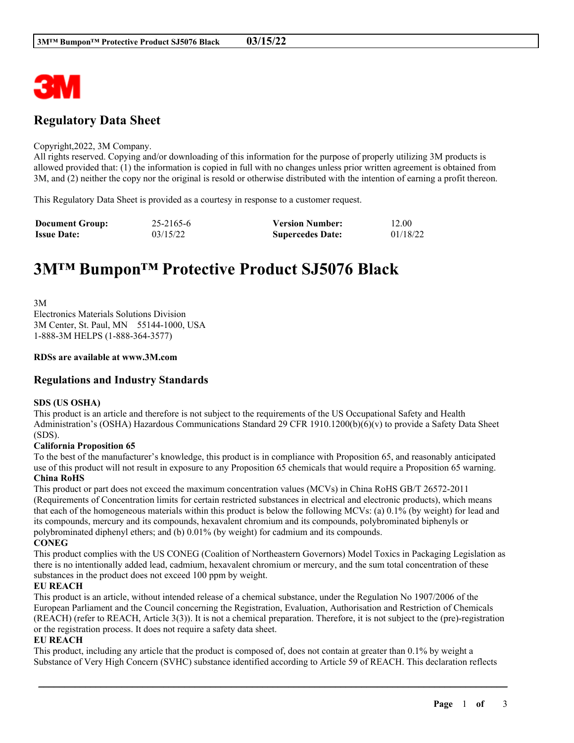

# **Regulatory Data Sheet**

#### Copyright,2022, 3M Company.

All rights reserved. Copying and/or downloading of this information for the purpose of properly utilizing 3M products is allowed provided that: (1) the information is copied in full with no changes unless prior written agreement is obtained from 3M, and (2) neither the copy nor the original is resold or otherwise distributed with the intention of earning a profit thereon.

This Regulatory Data Sheet is provided as a courtesy in response to a customer request.

| <b>Document Group:</b> | 25-2165-6 | <b>Version Number:</b>  | 12.00    |
|------------------------|-----------|-------------------------|----------|
| <b>Issue Date:</b>     | 03/15/22  | <b>Supercedes Date:</b> | 01/18/22 |

# **3M™ Bumpon™ Protective Product SJ5076 Black**

3M Electronics Materials Solutions Division 3M Center, St. Paul, MN 55144-1000, USA 1-888-3M HELPS (1-888-364-3577)

#### **RDSs are available at www.3M.com**

## **Regulations and Industry Standards**

#### **SDS (US OSHA)**

This product is an article and therefore is not subject to the requirements of the US Occupational Safety and Health Administration's (OSHA) Hazardous Communications Standard 29 CFR 1910.1200(b)(6)(v) to provide a Safety Data Sheet (SDS).

#### **California Proposition 65**

To the best of the manufacturer's knowledge, this product is in compliance with Proposition 65, and reasonably anticipated use of this product will not result in exposure to any Proposition 65 chemicals that would require a Proposition 65 warning. **China RoHS**

This product or part does not exceed the maximum concentration values (MCVs) in China RoHS GB/T 26572-2011 (Requirements of Concentration limits for certain restricted substances in electrical and electronic products), which means that each of the homogeneous materials within this product is below the following MCVs: (a) 0.1% (by weight) for lead and its compounds, mercury and its compounds, hexavalent chromium and its compounds, polybrominated biphenyls or polybrominated diphenyl ethers; and (b) 0.01% (by weight) for cadmium and its compounds. **CONEG**

This product complies with the US CONEG (Coalition of Northeastern Governors) Model Toxics in Packaging Legislation as there is no intentionally added lead, cadmium, hexavalent chromium or mercury, and the sum total concentration of these substances in the product does not exceed 100 ppm by weight.

#### **EU REACH**

This product is an article, without intended release of a chemical substance, under the Regulation No 1907/2006 of the European Parliament and the Council concerning the Registration, Evaluation, Authorisation and Restriction of Chemicals (REACH) (refer to REACH, Article 3(3)). It is not a chemical preparation. Therefore, it is not subject to the (pre)-registration or the registration process. It does not require a safety data sheet.

#### **EU REACH**

This product, including any article that the product is composed of, does not contain at greater than 0.1% by weight a Substance of Very High Concern (SVHC) substance identified according to Article 59 of REACH. This declaration reflects

\_\_\_\_\_\_\_\_\_\_\_\_\_\_\_\_\_\_\_\_\_\_\_\_\_\_\_\_\_\_\_\_\_\_\_\_\_\_\_\_\_\_\_\_\_\_\_\_\_\_\_\_\_\_\_\_\_\_\_\_\_\_\_\_\_\_\_\_\_\_\_\_\_\_\_\_\_\_\_\_\_\_\_\_\_\_\_\_\_\_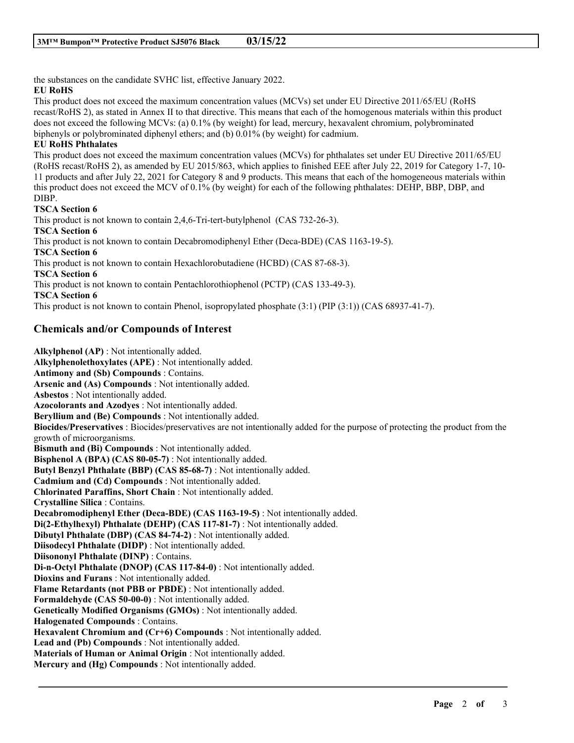the substances on the candidate SVHC list, effective January 2022.

### **EU RoHS**

This product does not exceed the maximum concentration values (MCVs) set under EU Directive 2011/65/EU (RoHS recast/RoHS 2), as stated in Annex II to that directive. This means that each of the homogenous materials within this product does not exceed the following MCVs: (a) 0.1% (by weight) for lead, mercury, hexavalent chromium, polybrominated biphenyls or polybrominated diphenyl ethers; and (b) 0.01% (by weight) for cadmium.

## **EU RoHS Phthalates**

This product does not exceed the maximum concentration values (MCVs) for phthalates set under EU Directive 2011/65/EU (RoHS recast/RoHS 2), as amended by EU 2015/863, which applies to finished EEE after July 22, 2019 for Category 1-7, 10- 11 products and after July 22, 2021 for Category 8 and 9 products. This means that each of the homogeneous materials within this product does not exceed the MCV of 0.1% (by weight) for each of the following phthalates: DEHP, BBP, DBP, and DIBP.

**TSCA Section 6** This product is not known to contain 2,4,6-Tri-tert-butylphenol (CAS 732-26-3). **TSCA Section 6** This product is not known to contain Decabromodiphenyl Ether (Deca-BDE) (CAS 1163-19-5). **TSCA Section 6** This product is not known to contain Hexachlorobutadiene (HCBD) (CAS 87-68-3). **TSCA Section 6**

This product is not known to contain Pentachlorothiophenol (PCTP) (CAS 133-49-3).

**TSCA Section 6**

This product is not known to contain Phenol, isopropylated phosphate (3:1) (PIP (3:1)) (CAS 68937-41-7).

# **Chemicals and/or Compounds of Interest**

**Alkylphenol (AP)** : Not intentionally added. **Alkylphenolethoxylates (APE)** : Not intentionally added. **Antimony and (Sb) Compounds** : Contains. **Arsenic and (As) Compounds** : Not intentionally added. **Asbestos** : Not intentionally added. **Azocolorants and Azodyes** : Not intentionally added. **Beryllium and (Be) Compounds** : Not intentionally added. **Biocides/Preservatives** : Biocides/preservatives are not intentionally added for the purpose of protecting the product from the growth of microorganisms. **Bismuth and (Bi) Compounds** : Not intentionally added. **Bisphenol A (BPA) (CAS 80-05-7)** : Not intentionally added. **Butyl Benzyl Phthalate (BBP) (CAS 85-68-7)** : Not intentionally added. **Cadmium and (Cd) Compounds** : Not intentionally added. **Chlorinated Paraffins, Short Chain** : Not intentionally added. **Crystalline Silica** : Contains. **Decabromodiphenyl Ether (Deca-BDE) (CAS 1163-19-5)** : Not intentionally added. **Di(2-Ethylhexyl) Phthalate (DEHP) (CAS 117-81-7)** : Not intentionally added. **Dibutyl Phthalate (DBP) (CAS 84-74-2)** : Not intentionally added. **Diisodecyl Phthalate (DIDP)** : Not intentionally added. **Diisononyl Phthalate (DINP)** : Contains. **Di-n-Octyl Phthalate (DNOP) (CAS 117-84-0)** : Not intentionally added. **Dioxins and Furans** : Not intentionally added. **Flame Retardants (not PBB or PBDE)** : Not intentionally added. **Formaldehyde (CAS 50-00-0)** : Not intentionally added. **Genetically Modified Organisms (GMOs)** : Not intentionally added. **Halogenated Compounds** : Contains. **Hexavalent Chromium and (Cr+6) Compounds** : Not intentionally added. **Lead and (Pb) Compounds** : Not intentionally added. **Materials of Human or Animal Origin** : Not intentionally added. **Mercury and (Hg) Compounds** : Not intentionally added.

\_\_\_\_\_\_\_\_\_\_\_\_\_\_\_\_\_\_\_\_\_\_\_\_\_\_\_\_\_\_\_\_\_\_\_\_\_\_\_\_\_\_\_\_\_\_\_\_\_\_\_\_\_\_\_\_\_\_\_\_\_\_\_\_\_\_\_\_\_\_\_\_\_\_\_\_\_\_\_\_\_\_\_\_\_\_\_\_\_\_